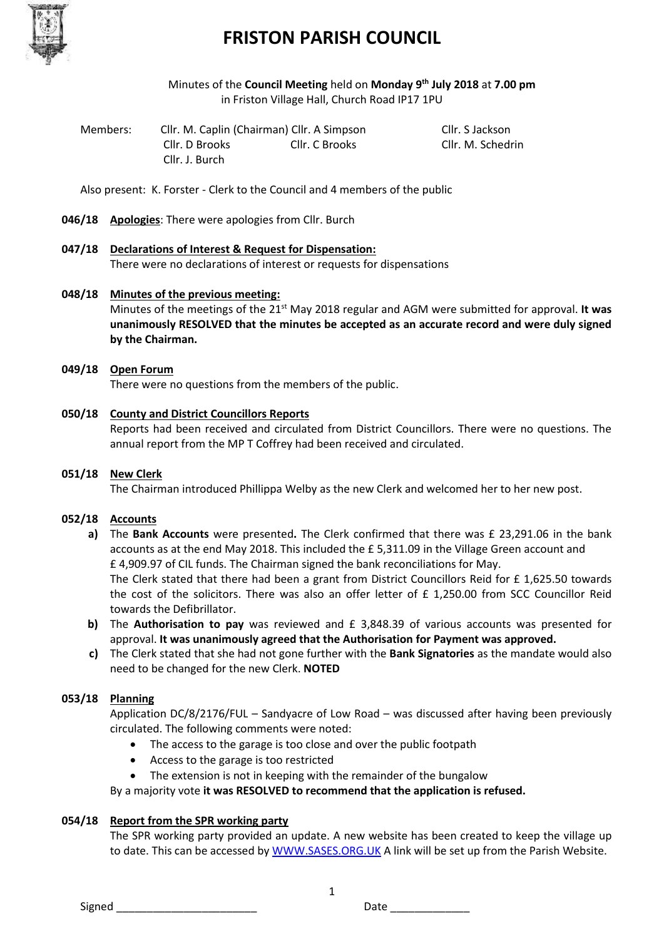

# **FRISTON PARISH COUNCIL**

Minutes of the **Council Meeting** held on **Monday 9th July 2018** at **7.00 pm** in Friston Village Hall, Church Road IP17 1PU

Members: Cllr. M. Caplin (Chairman) Cllr. A Simpson Cllr. S Jackson Cllr. D Brooks Cllr. C Brooks Cllr. M. Schedrin Cllr. J. Burch

Also present: K. Forster - Clerk to the Council and 4 members of the public

- **046/18 Apologies**: There were apologies from Cllr. Burch
- **047/18 Declarations of Interest & Request for Dispensation:** There were no declarations of interest or requests for dispensations

# **048/18 Minutes of the previous meeting:**

Minutes of the meetings of the 21<sup>st</sup> May 2018 regular and AGM were submitted for approval. It was **unanimously RESOLVED that the minutes be accepted as an accurate record and were duly signed by the Chairman.**

# **049/18 Open Forum**

There were no questions from the members of the public.

# **050/18 County and District Councillors Reports**

Reports had been received and circulated from District Councillors. There were no questions. The annual report from the MP T Coffrey had been received and circulated.

# **051/18 New Clerk**

The Chairman introduced Phillippa Welby as the new Clerk and welcomed her to her new post.

### **052/18 Accounts**

**a)** The **Bank Accounts** were presented**.** The Clerk confirmed that there was £ 23,291.06 in the bank accounts as at the end May 2018. This included the £ 5,311.09 in the Village Green account and £ 4,909.97 of CIL funds. The Chairman signed the bank reconciliations for May.

The Clerk stated that there had been a grant from District Councillors Reid for £ 1,625.50 towards the cost of the solicitors. There was also an offer letter of £ 1,250.00 from SCC Councillor Reid towards the Defibrillator.

- **b)** The **Authorisation to pay** was reviewed and £ 3,848.39 of various accounts was presented for approval. **It was unanimously agreed that the Authorisation for Payment was approved.**
- **c)** The Clerk stated that she had not gone further with the **Bank Signatories** as the mandate would also need to be changed for the new Clerk. **NOTED**

# **053/18 Planning**

Application DC/8/2176/FUL – Sandyacre of Low Road – was discussed after having been previously circulated. The following comments were noted:

- The access to the garage is too close and over the public footpath
- Access to the garage is too restricted
- The extension is not in keeping with the remainder of the bungalow

By a majority vote **it was RESOLVED to recommend that the application is refused.** 

1

### **054/18 Report from the SPR working party**

The SPR working party provided an update. A new website has been created to keep the village up to date. This can be accessed by [WWW.SASES.ORG.UK](http://www.sases.org.uk/) A link will be set up from the Parish Website.

Signed **Example 2** Date **Date** 2 Date 2 Date 2 Date 2 Date 2 Date 2 Date 2 Date 2 Date 2 Date 2 Date 2 Date 2 Date 2 Date 2 Date 2 Date 2 Date 2 Date 2 Date 2 Date 2 Date 2 Date 2 Date 2 Date 2 Date 2 Date 2 Date 2 Date 2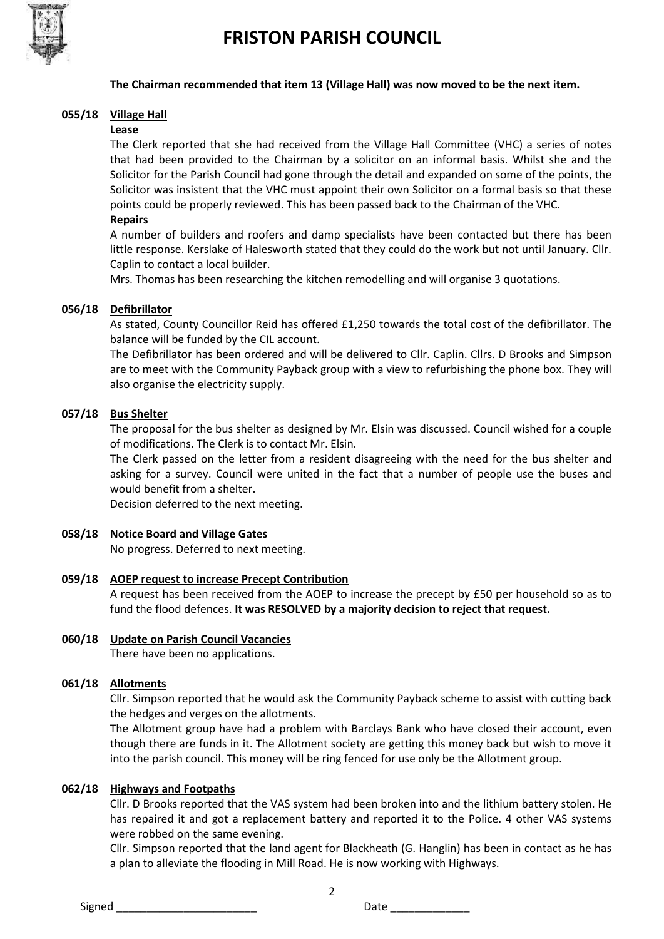

# **FRISTON PARISH COUNCIL**

#### **The Chairman recommended that item 13 (Village Hall) was now moved to be the next item.**

### **055/18 Village Hall**

#### **Lease**

The Clerk reported that she had received from the Village Hall Committee (VHC) a series of notes that had been provided to the Chairman by a solicitor on an informal basis. Whilst she and the Solicitor for the Parish Council had gone through the detail and expanded on some of the points, the Solicitor was insistent that the VHC must appoint their own Solicitor on a formal basis so that these points could be properly reviewed. This has been passed back to the Chairman of the VHC.

### **Repairs**

A number of builders and roofers and damp specialists have been contacted but there has been little response. Kerslake of Halesworth stated that they could do the work but not until January. Cllr. Caplin to contact a local builder.

Mrs. Thomas has been researching the kitchen remodelling and will organise 3 quotations.

### **056/18 Defibrillator**

As stated, County Councillor Reid has offered £1,250 towards the total cost of the defibrillator. The balance will be funded by the CIL account.

The Defibrillator has been ordered and will be delivered to Cllr. Caplin. Cllrs. D Brooks and Simpson are to meet with the Community Payback group with a view to refurbishing the phone box. They will also organise the electricity supply.

#### **057/18 Bus Shelter**

The proposal for the bus shelter as designed by Mr. Elsin was discussed. Council wished for a couple of modifications. The Clerk is to contact Mr. Elsin.

The Clerk passed on the letter from a resident disagreeing with the need for the bus shelter and asking for a survey. Council were united in the fact that a number of people use the buses and would benefit from a shelter.

Decision deferred to the next meeting.

#### **058/18 Notice Board and Village Gates**

No progress. Deferred to next meeting.

#### **059/18 AOEP request to increase Precept Contribution**

A request has been received from the AOEP to increase the precept by £50 per household so as to fund the flood defences. **It was RESOLVED by a majority decision to reject that request.** 

### **060/18 Update on Parish Council Vacancies**

There have been no applications.

### **061/18 Allotments**

Cllr. Simpson reported that he would ask the Community Payback scheme to assist with cutting back the hedges and verges on the allotments.

The Allotment group have had a problem with Barclays Bank who have closed their account, even though there are funds in it. The Allotment society are getting this money back but wish to move it into the parish council. This money will be ring fenced for use only be the Allotment group.

### **062/18 Highways and Footpaths**

Cllr. D Brooks reported that the VAS system had been broken into and the lithium battery stolen. He has repaired it and got a replacement battery and reported it to the Police. 4 other VAS systems were robbed on the same evening.

Cllr. Simpson reported that the land agent for Blackheath (G. Hanglin) has been in contact as he has a plan to alleviate the flooding in Mill Road. He is now working with Highways.

2

Signed \_\_\_\_\_\_\_\_\_\_\_\_\_\_\_\_\_\_\_\_\_\_\_ Date \_\_\_\_\_\_\_\_\_\_\_\_\_